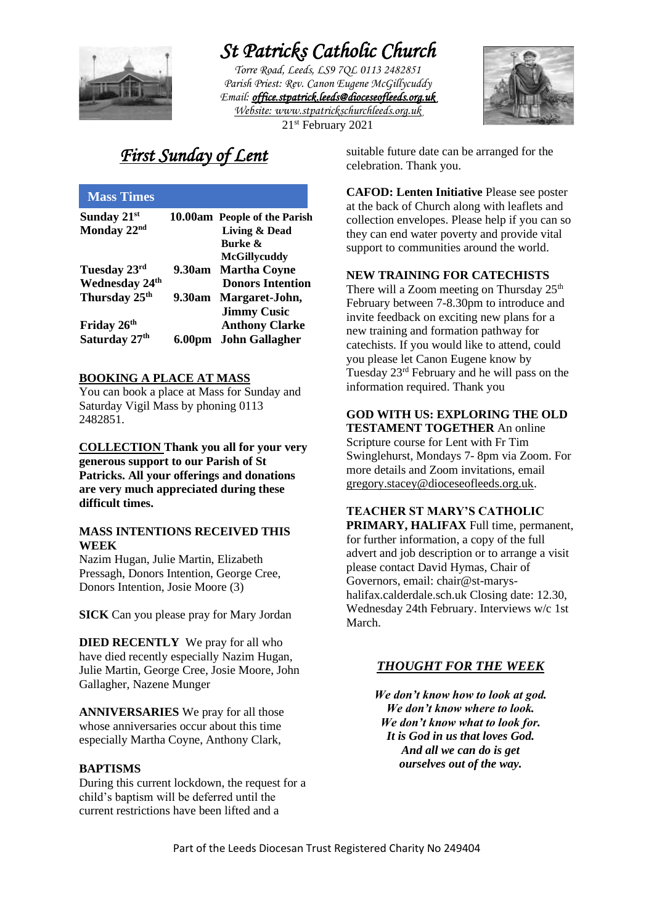

# *St Patricks Catholic Church*

*Torre Road, Leeds, LS9 7QL 0113 2482851 Parish Priest: Rev. Canon Eugene McGillycuddy Email: [office.stpatrick.leeds@dioceseofleeds.org.uk](mailto:office.stpatrick.leeds@dioceseofleeds.org.uk)  Website: www.stpatrickschurchleeds.org.uk*



21st February 2021

## *First Sunday of Lent*

|        | 10.00am People of the Parish |
|--------|------------------------------|
|        | <b>Living &amp; Dead</b>     |
|        | <b>Burke</b> &               |
|        | <b>McGillycuddy</b>          |
|        | 9.30am Martha Coyne          |
|        | <b>Donors Intention</b>      |
| 9.30am | Margaret-John,               |
|        | <b>Jimmy Cusic</b>           |
|        | <b>Anthony Clarke</b>        |
| 6.00pm | <b>John Gallagher</b>        |
|        |                              |

#### **BOOKING A PLACE AT MASS**

You can book a place at Mass for Sunday and Saturday Vigil Mass by phoning 0113 2482851.

**COLLECTION Thank you all for your very generous support to our Parish of St Patricks. All your offerings and donations are very much appreciated during these difficult times.**

#### **MASS INTENTIONS RECEIVED THIS WEEK**

Nazim Hugan, Julie Martin, Elizabeth Pressagh, Donors Intention, George Cree, Donors Intention, Josie Moore (3)

**SICK** Can you please pray for Mary Jordan

**DIED RECENTLY** We pray for all who have died recently especially Nazim Hugan, Julie Martin, George Cree, Josie Moore, John Gallagher, Nazene Munger

**ANNIVERSARIES** We pray for all those whose anniversaries occur about this time especially Martha Coyne, Anthony Clark,

#### **BAPTISMS**

During this current lockdown, the request for a child's baptism will be deferred until the current restrictions have been lifted and a

suitable future date can be arranged for the celebration. Thank you.

**CAFOD: Lenten Initiative** Please see poster at the back of Church along with leaflets and collection envelopes. Please help if you can so they can end water poverty and provide vital support to communities around the world.

#### **NEW TRAINING FOR CATECHISTS**

There will a Zoom meeting on Thursday 25<sup>th</sup> February between 7-8.30pm to introduce and invite feedback on exciting new plans for a new training and formation pathway for catechists. If you would like to attend, could you please let Canon Eugene know by Tuesday 23rd February and he will pass on the information required. Thank you

#### **GOD WITH US: EXPLORING THE OLD TESTAMENT TOGETHER** An online

Scripture course for Lent with Fr Tim Swinglehurst, Mondays 7- 8pm via Zoom. For more details and Zoom invitations, email [gregory.stacey@dioceseofleeds.org.uk.](mailto:gregory.stacey@dioceseofleeds.org.uk)

#### **TEACHER ST MARY'S CATHOLIC**

**PRIMARY, HALIFAX** Full time, permanent, for further information, a copy of the full advert and job description or to arrange a visit please contact David Hymas, Chair of Governors, email: chair@st-maryshalifax.calderdale.sch.uk Closing date: 12.30, Wednesday 24th February. Interviews w/c 1st March.

#### *THOUGHT FOR THE WEEK*

*We don't know how to look at god. We don't know where to look. We don't know what to look for. It is God in us that loves God. And all we can do is get ourselves out of the way.*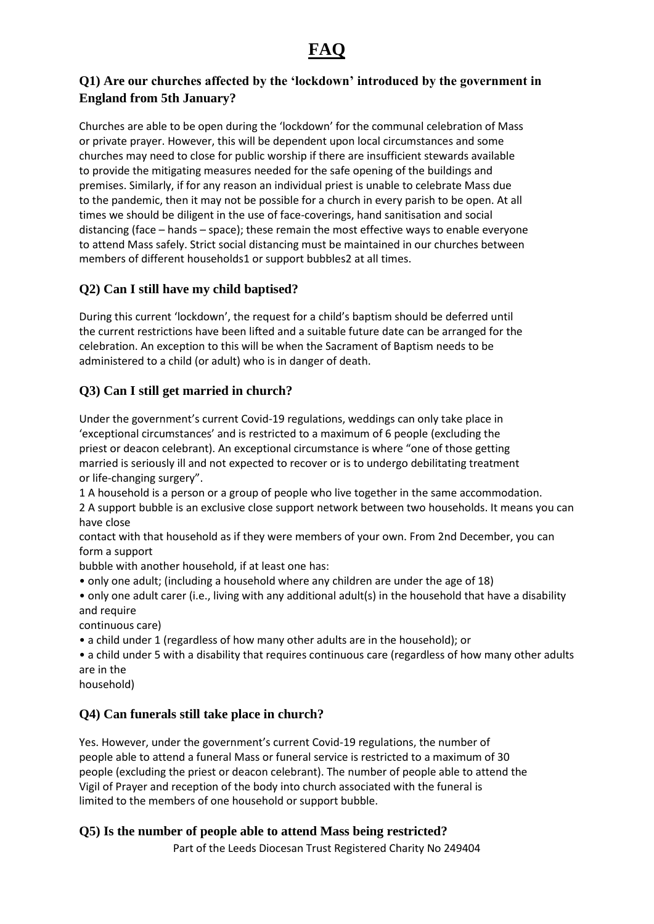## **FAQ**

## **Q1) Are our churches affected by the 'lockdown' introduced by the government in England from 5th January?**

Churches are able to be open during the 'lockdown' for the communal celebration of Mass or private prayer. However, this will be dependent upon local circumstances and some churches may need to close for public worship if there are insufficient stewards available to provide the mitigating measures needed for the safe opening of the buildings and premises. Similarly, if for any reason an individual priest is unable to celebrate Mass due to the pandemic, then it may not be possible for a church in every parish to be open. At all times we should be diligent in the use of face-coverings, hand sanitisation and social distancing (face – hands – space); these remain the most effective ways to enable everyone to attend Mass safely. Strict social distancing must be maintained in our churches between members of different households1 or support bubbles2 at all times.

## **Q2) Can I still have my child baptised?**

During this current 'lockdown', the request for a child's baptism should be deferred until the current restrictions have been lifted and a suitable future date can be arranged for the celebration. An exception to this will be when the Sacrament of Baptism needs to be administered to a child (or adult) who is in danger of death.

## **Q3) Can I still get married in church?**

Under the government's current Covid-19 regulations, weddings can only take place in 'exceptional circumstances' and is restricted to a maximum of 6 people (excluding the priest or deacon celebrant). An exceptional circumstance is where "one of those getting married is seriously ill and not expected to recover or is to undergo debilitating treatment or life-changing surgery".

1 A household is a person or a group of people who live together in the same accommodation.

2 A support bubble is an exclusive close support network between two households. It means you can have close

contact with that household as if they were members of your own. From 2nd December, you can form a support

bubble with another household, if at least one has:

- only one adult; (including a household where any children are under the age of 18)
- only one adult carer (i.e., living with any additional adult(s) in the household that have a disability and require

continuous care)

- a child under 1 (regardless of how many other adults are in the household); or
- a child under 5 with a disability that requires continuous care (regardless of how many other adults are in the
- household)

## **Q4) Can funerals still take place in church?**

Yes. However, under the government's current Covid-19 regulations, the number of people able to attend a funeral Mass or funeral service is restricted to a maximum of 30 people (excluding the priest or deacon celebrant). The number of people able to attend the Vigil of Prayer and reception of the body into church associated with the funeral is limited to the members of one household or support bubble.

### **Q5) Is the number of people able to attend Mass being restricted?**

Part of the Leeds Diocesan Trust Registered Charity No 249404